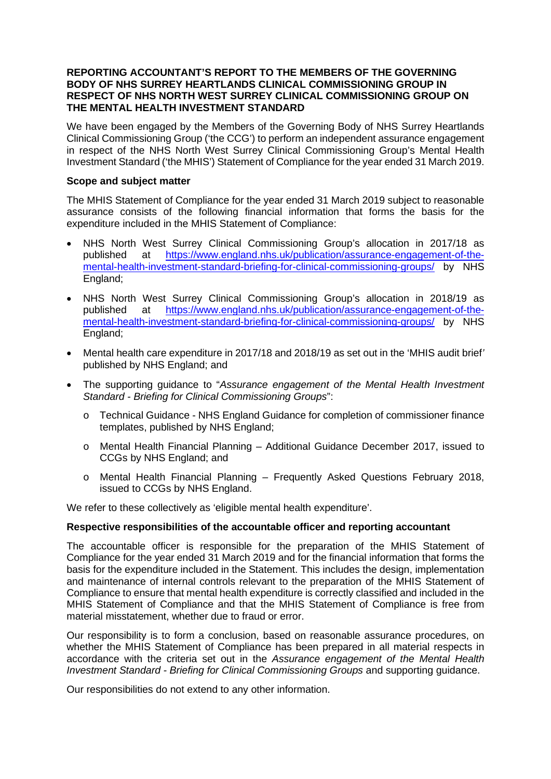### **REPORTING ACCOUNTANT'S REPORT TO THE MEMBERS OF THE GOVERNING BODY OF NHS SURREY HEARTLANDS CLINICAL COMMISSIONING GROUP IN RESPECT OF NHS NORTH WEST SURREY CLINICAL COMMISSIONING GROUP ON THE MENTAL HEALTH INVESTMENT STANDARD**

We have been engaged by the Members of the Governing Body of NHS Surrey Heartlands Clinical Commissioning Group ('the CCG') to perform an independent assurance engagement in respect of the NHS North West Surrey Clinical Commissioning Group's Mental Health Investment Standard ('the MHIS') Statement of Compliance for the year ended 31 March 2019.

## **Scope and subject matter**

The MHIS Statement of Compliance for the year ended 31 March 2019 subject to reasonable assurance consists of the following financial information that forms the basis for the expenditure included in the MHIS Statement of Compliance:

- NHS North West Surrey Clinical Commissioning Group's allocation in 2017/18 as published at [https://www.england.nhs.uk/publication/assurance-engagement-of-the](https://www.england.nhs.uk/publication/assurance-engagement-of-the-mental-health-investment-standard-briefing-for-clinical-commissioning-groups/)[mental-health-investment-standard-briefing-for-clinical-commissioning-groups/](https://www.england.nhs.uk/publication/assurance-engagement-of-the-mental-health-investment-standard-briefing-for-clinical-commissioning-groups/) by NHS England;
- NHS North West Surrey Clinical Commissioning Group's allocation in 2018/19 as published at [https://www.england.nhs.uk/publication/assurance-engagement-of-the](https://www.england.nhs.uk/publication/assurance-engagement-of-the-mental-health-investment-standard-briefing-for-clinical-commissioning-groups/)[mental-health-investment-standard-briefing-for-clinical-commissioning-groups/](https://www.england.nhs.uk/publication/assurance-engagement-of-the-mental-health-investment-standard-briefing-for-clinical-commissioning-groups/) by NHS England;
- Mental health care expenditure in 2017/18 and 2018/19 as set out in the 'MHIS audit brief*'* published by NHS England; and
- The supporting guidance to "*Assurance engagement of the Mental Health Investment Standard - Briefing for Clinical Commissioning Groups*":
	- o Technical Guidance NHS England Guidance for completion of commissioner finance templates, published by NHS England;
	- o Mental Health Financial Planning Additional Guidance December 2017, issued to CCGs by NHS England; and
	- o Mental Health Financial Planning Frequently Asked Questions February 2018, issued to CCGs by NHS England.

We refer to these collectively as 'eligible mental health expenditure'.

# **Respective responsibilities of the accountable officer and reporting accountant**

The accountable officer is responsible for the preparation of the MHIS Statement of Compliance for the year ended 31 March 2019 and for the financial information that forms the basis for the expenditure included in the Statement. This includes the design, implementation and maintenance of internal controls relevant to the preparation of the MHIS Statement of Compliance to ensure that mental health expenditure is correctly classified and included in the MHIS Statement of Compliance and that the MHIS Statement of Compliance is free from material misstatement, whether due to fraud or error.

Our responsibility is to form a conclusion, based on reasonable assurance procedures, on whether the MHIS Statement of Compliance has been prepared in all material respects in accordance with the criteria set out in the *Assurance engagement of the Mental Health Investment Standard - Briefing for Clinical Commissioning Groups* and supporting guidance.

Our responsibilities do not extend to any other information.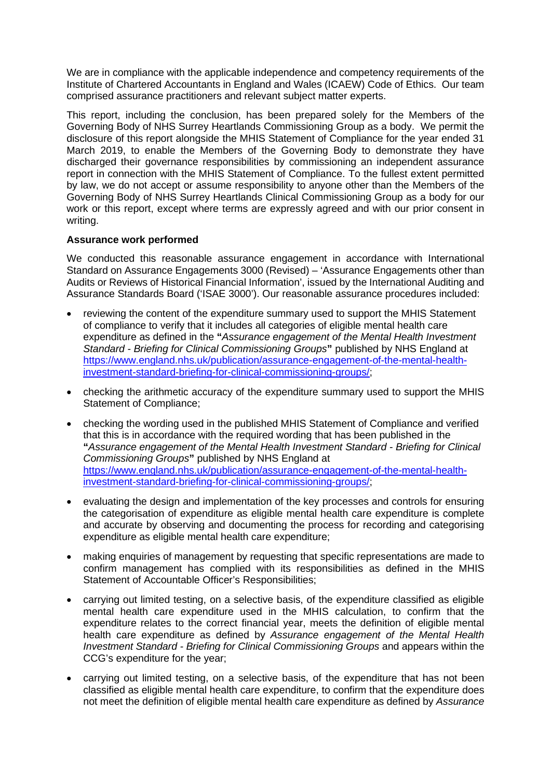We are in compliance with the applicable independence and competency requirements of the Institute of Chartered Accountants in England and Wales (ICAEW) Code of Ethics. Our team comprised assurance practitioners and relevant subject matter experts.

This report, including the conclusion, has been prepared solely for the Members of the Governing Body of NHS Surrey Heartlands Commissioning Group as a body. We permit the disclosure of this report alongside the MHIS Statement of Compliance for the year ended 31 March 2019, to enable the Members of the Governing Body to demonstrate they have discharged their governance responsibilities by commissioning an independent assurance report in connection with the MHIS Statement of Compliance. To the fullest extent permitted by law, we do not accept or assume responsibility to anyone other than the Members of the Governing Body of NHS Surrey Heartlands Clinical Commissioning Group as a body for our work or this report, except where terms are expressly agreed and with our prior consent in writing.

# **Assurance work performed**

We conducted this reasonable assurance engagement in accordance with International Standard on Assurance Engagements 3000 (Revised) – 'Assurance Engagements other than Audits or Reviews of Historical Financial Information', issued by the International Auditing and Assurance Standards Board ('ISAE 3000'). Our reasonable assurance procedures included:

- reviewing the content of the expenditure summary used to support the MHIS Statement of compliance to verify that it includes all categories of eligible mental health care expenditure as defined in the **"***Assurance engagement of the Mental Health Investment Standard - Briefing for Clinical Commissioning Groups***"** published by NHS England at [https://www.england.nhs.uk/publication/assurance-engagement-of-the-mental-health](https://www.england.nhs.uk/publication/assurance-engagement-of-the-mental-health-investment-standard-briefing-for-clinical-commissioning-groups/)[investment-standard-briefing-for-clinical-commissioning-groups/;](https://www.england.nhs.uk/publication/assurance-engagement-of-the-mental-health-investment-standard-briefing-for-clinical-commissioning-groups/)
- checking the arithmetic accuracy of the expenditure summary used to support the MHIS Statement of Compliance;
- checking the wording used in the published MHIS Statement of Compliance and verified that this is in accordance with the required wording that has been published in the **"***Assurance engagement of the Mental Health Investment Standard - Briefing for Clinical Commissioning Groups***"** published by NHS England at [https://www.england.nhs.uk/publication/assurance-engagement-of-the-mental-health](https://www.england.nhs.uk/publication/assurance-engagement-of-the-mental-health-investment-standard-briefing-for-clinical-commissioning-groups/)[investment-standard-briefing-for-clinical-commissioning-groups/;](https://www.england.nhs.uk/publication/assurance-engagement-of-the-mental-health-investment-standard-briefing-for-clinical-commissioning-groups/)
- evaluating the design and implementation of the key processes and controls for ensuring the categorisation of expenditure as eligible mental health care expenditure is complete and accurate by observing and documenting the process for recording and categorising expenditure as eligible mental health care expenditure;
- making enquiries of management by requesting that specific representations are made to confirm management has complied with its responsibilities as defined in the MHIS Statement of Accountable Officer's Responsibilities;
- carrying out limited testing, on a selective basis, of the expenditure classified as eligible mental health care expenditure used in the MHIS calculation, to confirm that the expenditure relates to the correct financial year, meets the definition of eligible mental health care expenditure as defined by *Assurance engagement of the Mental Health Investment Standard - Briefing for Clinical Commissioning Groups* and appears within the CCG's expenditure for the year;
- carrying out limited testing, on a selective basis, of the expenditure that has not been classified as eligible mental health care expenditure, to confirm that the expenditure does not meet the definition of eligible mental health care expenditure as defined by *Assurance*